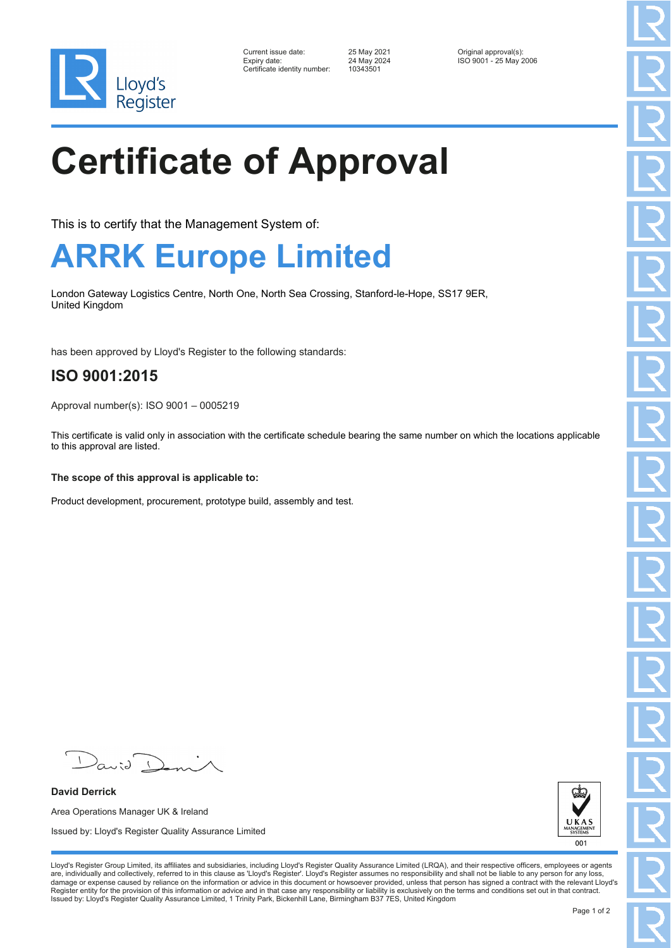

| Current issue date:          | 25 May 2021 | Original approval(s):  |
|------------------------------|-------------|------------------------|
| Expiry date:                 | 24 May 2024 | ISO 9001 - 25 May 2006 |
| Certificate identity number: | 10343501    |                        |

 $-10343501$ 

# **Certificate of Approval**

This is to certify that the Management System of:

### **ARRK Europe Limited**

London Gateway Logistics Centre, North One, North Sea Crossing, Stanford-le-Hope, SS17 9ER, United Kingdom

has been approved by Lloyd's Register to the following standards:

### **ISO 9001:2015**

Approval number(s): ISO 9001 – 0005219

This certificate is valid only in association with the certificate schedule bearing the same number on which the locations applicable to this approval are listed.

**The scope of this approval is applicable to:**

Product development, procurement, prototype build, assembly and test.

 $\sqrt{2}$ 

**David Derrick** Area Operations Manager UK & Ireland Issued by: Lloyd's Register Quality Assurance Limited



Lloyd's Register Group Limited, its affiliates and subsidiaries, including Lloyd's Register Quality Assurance Limited (LRQA), and their respective officers, employees or agents are, individually and collectively, referred to in this clause as 'Lloyd's Register'. Lloyd's Register assumes no responsibility and shall not be liable to any person for any loss,<br>damage or expense caused by reliance on t Register entity for the provision of this information or advice and in that case any responsibility or liability is exclusively on the terms and conditions set out in that contract. Issued by: Lloyd's Register Quality Assurance Limited, 1 Trinity Park, Bickenhill Lane, Birmingham B37 7ES, United Kingdom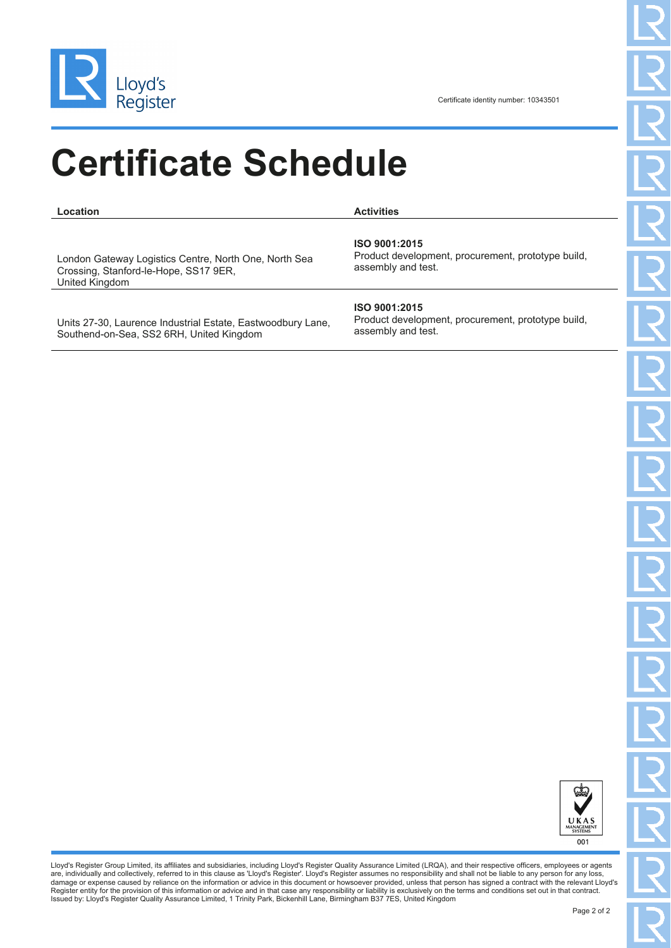

## **Certificate Schedule**

**Location Activities**

London Gateway Logistics Centre, North One, North Sea Crossing, Stanford-le-Hope, SS17 9ER, United Kingdom

**ISO 9001:2015**

Product development, procurement, prototype build, assembly and test.

Units 27-30, Laurence Industrial Estate, Eastwoodbury Lane, Southend-on-Sea, SS2 6RH, United Kingdom

#### **ISO 9001:2015**

Product development, procurement, prototype build, assembly and test.



Lloyd's Register Group Limited, its affiliates and subsidiaries, including Lloyd's Register Quality Assurance Limited (LRQA), and their respective officers, employees or agents are, individually and collectively, referred to in this clause as 'Lloyd's Register'. Lloyd's Register assumes no responsibility and shall not be liable to any person for any loss,<br>damage or expense caused by reliance on t Register entity for the provision of this information or advice and in that case any responsibility or liability is exclusively on the terms and conditions set out in that contract.<br>Issued by: Lloyd's Register Quality Assu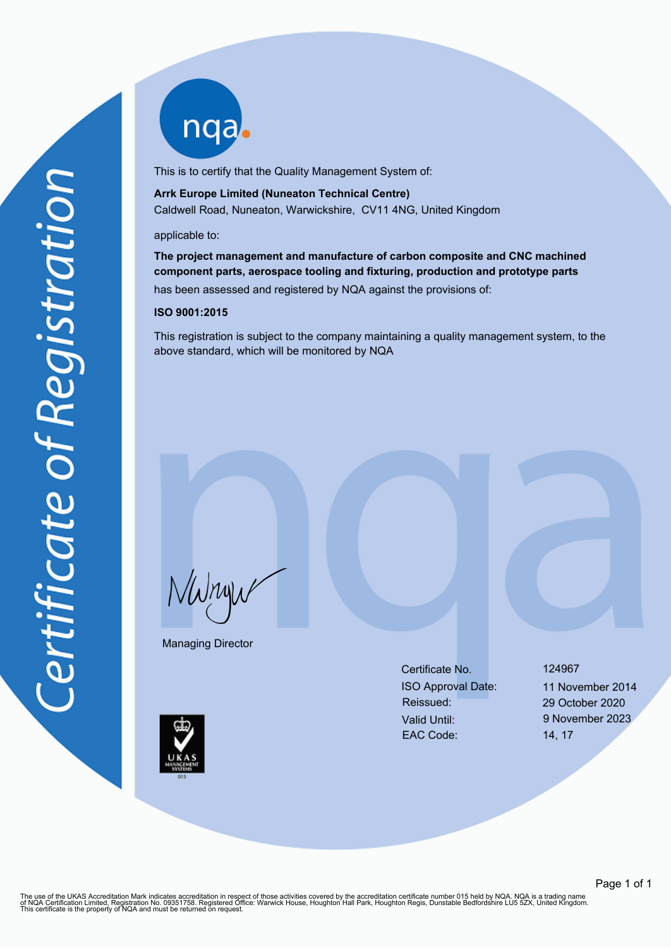nqa.

This is to certify that the Quality Management System of:

#### **Arrk Europe Limited (Nuneaton Technical Centre)** Caldwell Road, Nuneaton, Warwickshire, CV11 4NG, United Kingdom

#### applicable to:

**The project management and manufacture of carbon composite and CNC machined component parts, aerospace tooling and fixturing, production and prototype parts**

has been assessed and registered by NQA against the provisions of:

#### **ISO 9001:2015**

This registration is subject to the company maintaining a quality management system, to the above standard, which will be monitored by NQA

NWnyw

Managing Director

Certificate No. 124967 ISO Approval Date: 11 November 2014 Reissued: 29 October 2020 Valid Until: 9 November 2023 EAC Code: 14, 17

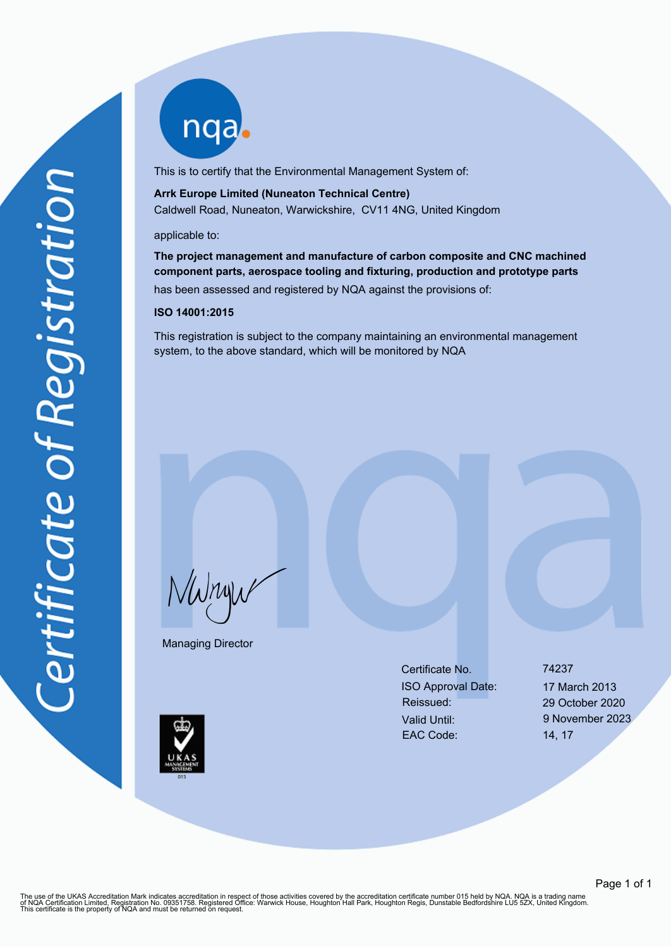nqa.

This is to certify that the Environmental Management System of:

#### **Arrk Europe Limited (Nuneaton Technical Centre)** Caldwell Road, Nuneaton, Warwickshire, CV11 4NG, United Kingdom

#### applicable to:

**The project management and manufacture of carbon composite and CNC machined component parts, aerospace tooling and fixturing, production and prototype parts**

has been assessed and registered by NQA against the provisions of:

#### **ISO 14001:2015**

This registration is subject to the company maintaining an environmental management system, to the above standard, which will be monitored by NQA

NWnyw

Managing Director

Certificate No. 74237 ISO Approval Date: 17 March 2013 Reissued: 29 October 2020 Valid Until: 9 November 2023 EAC Code: 14, 17

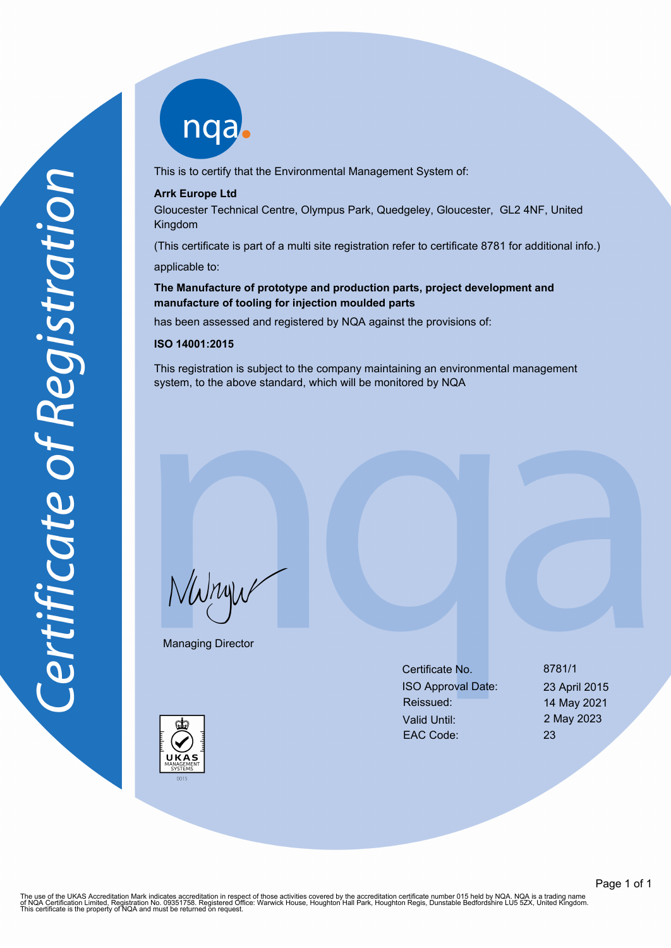

This is to certify that the Environmental Management System of:

#### **Arrk Europe Ltd**

Gloucester Technical Centre, Olympus Park, Quedgeley, Gloucester, GL2 4NF, United Kingdom

(This certificate is part of a multi site registration refer to certificate 8781 for additional info.) applicable to:

#### **The Manufacture of prototype and production parts, project development and manufacture of tooling for injection moulded parts**

has been assessed and registered by NQA against the provisions of:

#### **ISO 14001:2015**

This registration is subject to the company maintaining an environmental management system, to the above standard, which will be monitored by NQA

NWnyw

Managing Director

Certificate No. 8781/1 ISO Approval Date: 23 April 2015 Reissued: 14 May 2021 Valid Until: 2 May 2023 EAC Code: 23



The use of the UKAS Accreditation Mark indicates accreditation in respect of those activities covered by the accreditation certificate number 015 held by NQA. NQA is a trading name<br>of NQA Certification Limited, Registratio